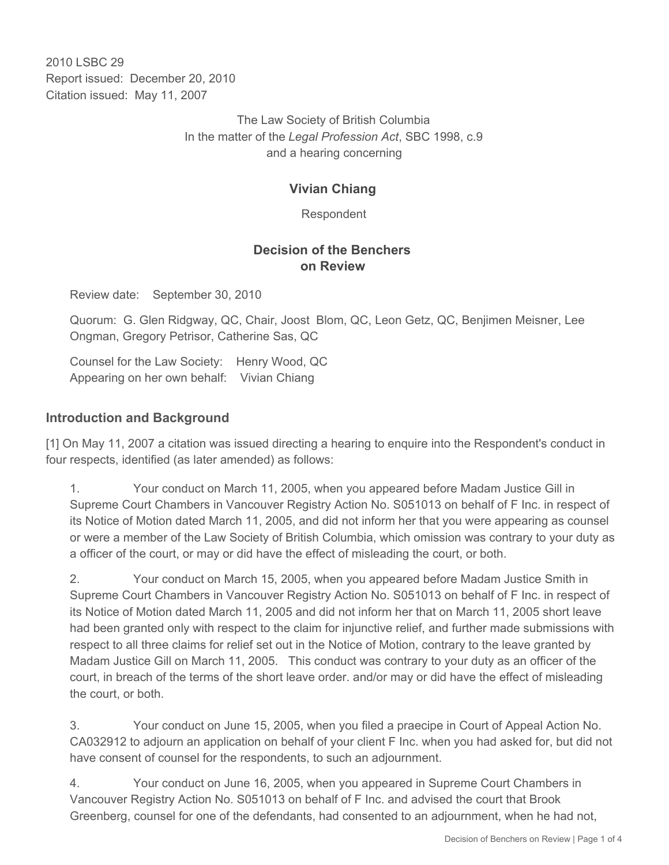2010 LSBC 29 Report issued: December 20, 2010 Citation issued: May 11, 2007

> The Law Society of British Columbia In the matter of the *Legal Profession Act*, SBC 1998, c.9 and a hearing concerning

## **Vivian Chiang**

Respondent

### **Decision of the Benchers on Review**

Review date: September 30, 2010

Quorum: G. Glen Ridgway, QC, Chair, Joost Blom, QC, Leon Getz, QC, Benjimen Meisner, Lee Ongman, Gregory Petrisor, Catherine Sas, QC

Counsel for the Law Society: Henry Wood, QC Appearing on her own behalf: Vivian Chiang

## **Introduction and Background**

[1] On May 11, 2007 a citation was issued directing a hearing to enquire into the Respondent's conduct in four respects, identified (as later amended) as follows:

1. Your conduct on March 11, 2005, when you appeared before Madam Justice Gill in Supreme Court Chambers in Vancouver Registry Action No. S051013 on behalf of F Inc. in respect of its Notice of Motion dated March 11, 2005, and did not inform her that you were appearing as counsel or were a member of the Law Society of British Columbia, which omission was contrary to your duty as a officer of the court, or may or did have the effect of misleading the court, or both.

2. Your conduct on March 15, 2005, when you appeared before Madam Justice Smith in Supreme Court Chambers in Vancouver Registry Action No. S051013 on behalf of F Inc. in respect of its Notice of Motion dated March 11, 2005 and did not inform her that on March 11, 2005 short leave had been granted only with respect to the claim for injunctive relief, and further made submissions with respect to all three claims for relief set out in the Notice of Motion, contrary to the leave granted by Madam Justice Gill on March 11, 2005. This conduct was contrary to your duty as an officer of the court, in breach of the terms of the short leave order. and/or may or did have the effect of misleading the court, or both.

3. Your conduct on June 15, 2005, when you filed a praecipe in Court of Appeal Action No. CA032912 to adjourn an application on behalf of your client F Inc. when you had asked for, but did not have consent of counsel for the respondents, to such an adjournment.

4. Your conduct on June 16, 2005, when you appeared in Supreme Court Chambers in Vancouver Registry Action No. S051013 on behalf of F Inc. and advised the court that Brook Greenberg, counsel for one of the defendants, had consented to an adjournment, when he had not,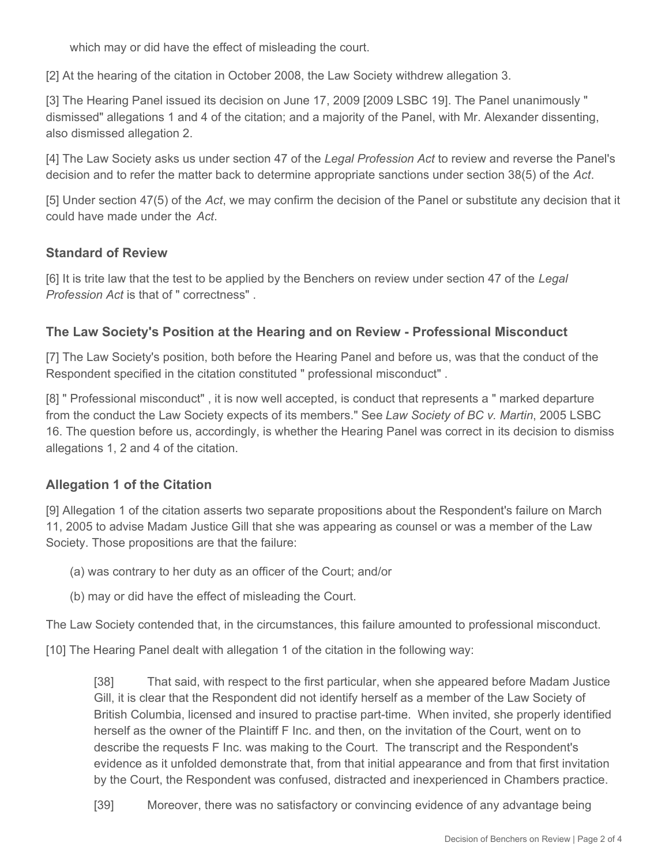which may or did have the effect of misleading the court.

[2] At the hearing of the citation in October 2008, the Law Society withdrew allegation 3.

[3] The Hearing Panel issued its decision on June 17, 2009 [2009 LSBC 19]. The Panel unanimously " dismissed" allegations 1 and 4 of the citation; and a majority of the Panel, with Mr. Alexander dissenting, also dismissed allegation 2.

[4] The Law Society asks us under section 47 of the *Legal Profession Act* to review and reverse the Panel's decision and to refer the matter back to determine appropriate sanctions under section 38(5) of the *Act*.

[5] Under section 47(5) of the *Act*, we may confirm the decision of the Panel or substitute any decision that it could have made under the *Act*.

#### **Standard of Review**

[6] It is trite law that the test to be applied by the Benchers on review under section 47 of the *Legal Profession Act* is that of " correctness" .

#### **The Law Society's Position at the Hearing and on Review - Professional Misconduct**

[7] The Law Society's position, both before the Hearing Panel and before us, was that the conduct of the Respondent specified in the citation constituted " professional misconduct" .

[8] " Professional misconduct" , it is now well accepted, is conduct that represents a " marked departure from the conduct the Law Society expects of its members." See *Law Society of BC v. Martin*, 2005 LSBC 16. The question before us, accordingly, is whether the Hearing Panel was correct in its decision to dismiss allegations 1, 2 and 4 of the citation.

## **Allegation 1 of the Citation**

[9] Allegation 1 of the citation asserts two separate propositions about the Respondent's failure on March 11, 2005 to advise Madam Justice Gill that she was appearing as counsel or was a member of the Law Society. Those propositions are that the failure:

- (a) was contrary to her duty as an officer of the Court; and/or
- (b) may or did have the effect of misleading the Court.

The Law Society contended that, in the circumstances, this failure amounted to professional misconduct.

[10] The Hearing Panel dealt with allegation 1 of the citation in the following way:

[38] That said, with respect to the first particular, when she appeared before Madam Justice Gill, it is clear that the Respondent did not identify herself as a member of the Law Society of British Columbia, licensed and insured to practise part-time. When invited, she properly identified herself as the owner of the Plaintiff F Inc. and then, on the invitation of the Court, went on to describe the requests F Inc. was making to the Court. The transcript and the Respondent's evidence as it unfolded demonstrate that, from that initial appearance and from that first invitation by the Court, the Respondent was confused, distracted and inexperienced in Chambers practice.

[39] Moreover, there was no satisfactory or convincing evidence of any advantage being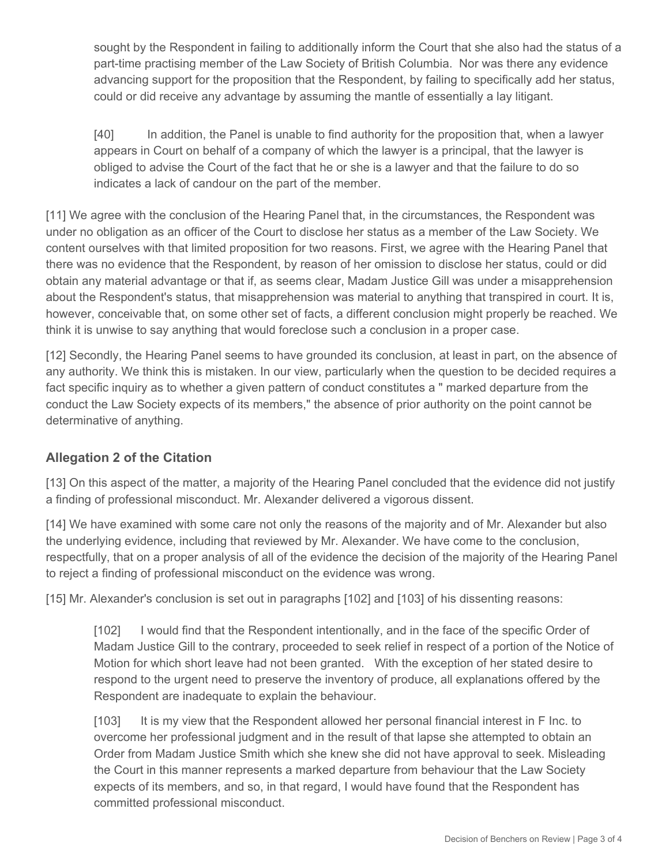sought by the Respondent in failing to additionally inform the Court that she also had the status of a part-time practising member of the Law Society of British Columbia. Nor was there any evidence advancing support for the proposition that the Respondent, by failing to specifically add her status, could or did receive any advantage by assuming the mantle of essentially a lay litigant.

[40] In addition, the Panel is unable to find authority for the proposition that, when a lawyer appears in Court on behalf of a company of which the lawyer is a principal, that the lawyer is obliged to advise the Court of the fact that he or she is a lawyer and that the failure to do so indicates a lack of candour on the part of the member.

[11] We agree with the conclusion of the Hearing Panel that, in the circumstances, the Respondent was under no obligation as an officer of the Court to disclose her status as a member of the Law Society. We content ourselves with that limited proposition for two reasons. First, we agree with the Hearing Panel that there was no evidence that the Respondent, by reason of her omission to disclose her status, could or did obtain any material advantage or that if, as seems clear, Madam Justice Gill was under a misapprehension about the Respondent's status, that misapprehension was material to anything that transpired in court. It is, however, conceivable that, on some other set of facts, a different conclusion might properly be reached. We think it is unwise to say anything that would foreclose such a conclusion in a proper case.

[12] Secondly, the Hearing Panel seems to have grounded its conclusion, at least in part, on the absence of any authority. We think this is mistaken. In our view, particularly when the question to be decided requires a fact specific inquiry as to whether a given pattern of conduct constitutes a " marked departure from the conduct the Law Society expects of its members," the absence of prior authority on the point cannot be determinative of anything.

# **Allegation 2 of the Citation**

[13] On this aspect of the matter, a majority of the Hearing Panel concluded that the evidence did not justify a finding of professional misconduct. Mr. Alexander delivered a vigorous dissent.

[14] We have examined with some care not only the reasons of the majority and of Mr. Alexander but also the underlying evidence, including that reviewed by Mr. Alexander. We have come to the conclusion, respectfully, that on a proper analysis of all of the evidence the decision of the majority of the Hearing Panel to reject a finding of professional misconduct on the evidence was wrong.

[15] Mr. Alexander's conclusion is set out in paragraphs [102] and [103] of his dissenting reasons:

[102] I would find that the Respondent intentionally, and in the face of the specific Order of Madam Justice Gill to the contrary, proceeded to seek relief in respect of a portion of the Notice of Motion for which short leave had not been granted. With the exception of her stated desire to respond to the urgent need to preserve the inventory of produce, all explanations offered by the Respondent are inadequate to explain the behaviour.

[103] It is my view that the Respondent allowed her personal financial interest in F Inc. to overcome her professional judgment and in the result of that lapse she attempted to obtain an Order from Madam Justice Smith which she knew she did not have approval to seek. Misleading the Court in this manner represents a marked departure from behaviour that the Law Society expects of its members, and so, in that regard, I would have found that the Respondent has committed professional misconduct.